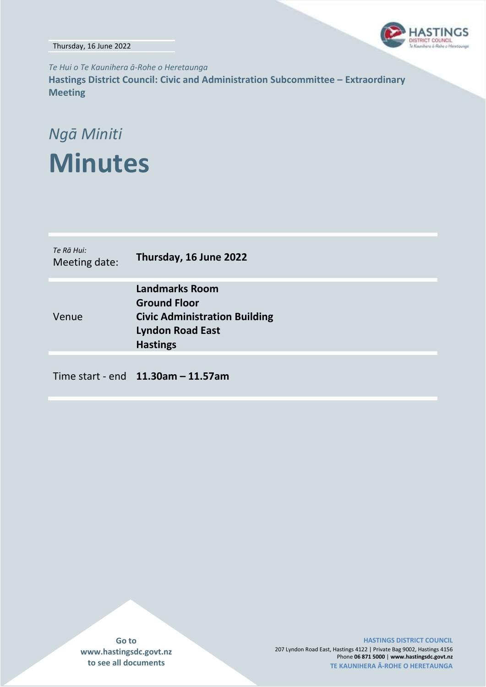Thursday, 16 June 2022



*Te Hui o Te Kaunihera ā-Rohe o Heretaunga* **Hastings District Council: Civic and Administration Subcommittee – Extraordinary Meeting**

# *Ngā Miniti* **Minutes**

| Te Rā Hui:<br>Meeting date: | Thursday, 16 June 2022                                                                                                             |
|-----------------------------|------------------------------------------------------------------------------------------------------------------------------------|
| Venue                       | <b>Landmarks Room</b><br><b>Ground Floor</b><br><b>Civic Administration Building</b><br><b>Lyndon Road East</b><br><b>Hastings</b> |
|                             | Time start - end $11.30$ am - 11.57am                                                                                              |

**Go to www.hastingsdc.govt.nz to see all documents**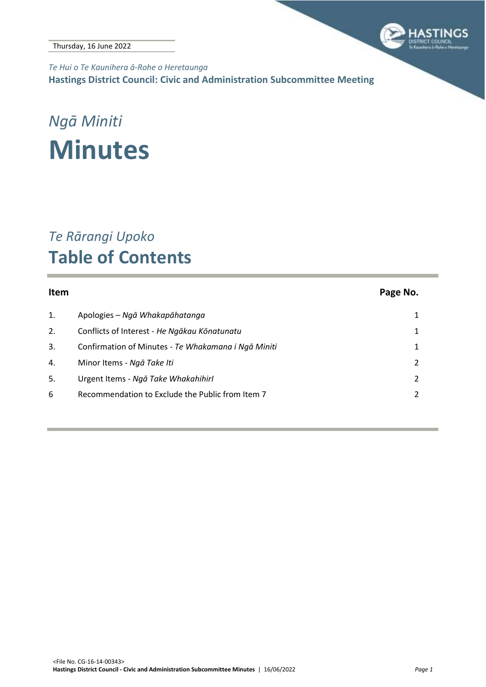

*Te Hui o Te Kaunihera ā-Rohe o Heretaunga* **Hastings District Council: Civic and Administration Subcommittee Meeting**

# *Ngā Miniti* **Minutes**

### *Te Rārangi Upoko* **Table of Contents**

| <b>Item</b> |                                                     | Page No. |
|-------------|-----------------------------------------------------|----------|
| 1.          | Apologies - Ngā Whakapāhatanga                      |          |
| 2.          | Conflicts of Interest - He Ngākau Kōnatunatu        | 1        |
| 3.          | Confirmation of Minutes - Te Whakamana i Ngā Miniti | 1        |
| 4.          | Minor Items - Ngā Take Iti                          | 2        |
| 5.          | Urgent Items - Ngā Take Whakahihirl                 |          |
| 6           | Recommendation to Exclude the Public from Item 7    |          |
|             |                                                     |          |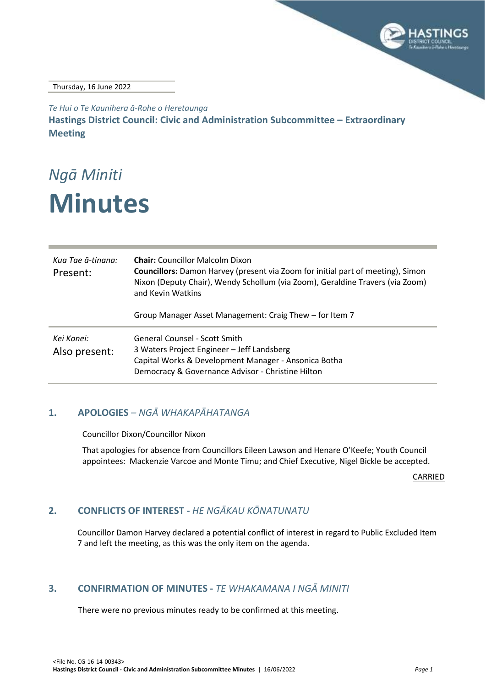

Thursday, 16 June 2022

*Te Hui o Te Kaunihera ā-Rohe o Heretaunga* **Hastings District Council: Civic and Administration Subcommittee – Extraordinary Meeting**

## *Ngā Miniti* **Minutes**

| Kua Tae ā-tinana:<br>Present: | <b>Chair:</b> Councillor Malcolm Dixon<br><b>Councillors:</b> Damon Harvey (present via Zoom for initial part of meeting), Simon<br>Nixon (Deputy Chair), Wendy Schollum (via Zoom), Geraldine Travers (via Zoom)<br>and Kevin Watkins |
|-------------------------------|----------------------------------------------------------------------------------------------------------------------------------------------------------------------------------------------------------------------------------------|
|                               | Group Manager Asset Management: Craig Thew – for Item 7                                                                                                                                                                                |
| Kei Konei:<br>Also present:   | General Counsel - Scott Smith<br>3 Waters Project Engineer - Jeff Landsberg<br>Capital Works & Development Manager - Ansonica Botha<br>Democracy & Governance Advisor - Christine Hilton                                               |

### <span id="page-2-0"></span>**1. APOLOGIES** *– NGĀ WHAKAPĀHATANGA*

Councillor Dixon/Councillor Nixon

That apologies for absence from Councillors Eileen Lawson and Henare O'Keefe; Youth Council appointees: Mackenzie Varcoe and Monte Timu; and Chief Executive, Nigel Bickle be accepted.

CARRIED

### <span id="page-2-1"></span>**2. CONFLICTS OF INTEREST -** *HE NGĀKAU KŌNATUNATU*

Councillor Damon Harvey declared a potential conflict of interest in regard to Public Excluded Item 7 and left the meeting, as this was the only item on the agenda.

#### <span id="page-2-2"></span>**3. CONFIRMATION OF MINUTES -** *TE WHAKAMANA I NGĀ MINITI*

There were no previous minutes ready to be confirmed at this meeting.